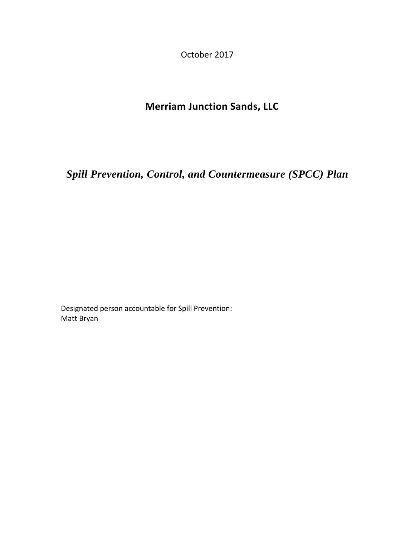October 2017

# **Merriam Junction Sands, LLC**

*Spill Prevention, Control, and Countermeasure (SPCC) Plan* 

Designated person accountable for Spill Prevention: Matt Bryan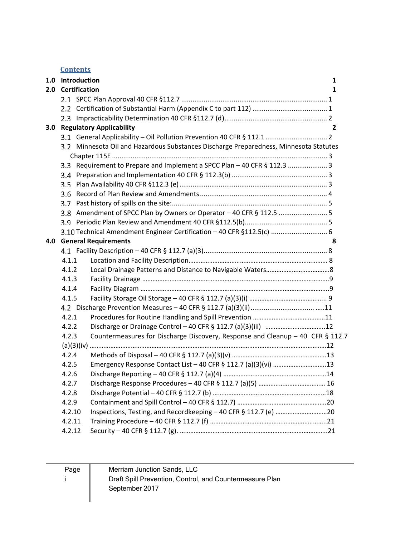**Contents**

|     | 1.0 Introduction     |                                                                                       |   |
|-----|----------------------|---------------------------------------------------------------------------------------|---|
| 2.0 | <b>Certification</b> |                                                                                       |   |
|     |                      |                                                                                       |   |
|     |                      |                                                                                       |   |
|     |                      |                                                                                       |   |
| 3.0 |                      | <b>Regulatory Applicability</b>                                                       | 2 |
|     |                      |                                                                                       |   |
|     |                      | 3.2 Minnesota Oil and Hazardous Substances Discharge Preparedness, Minnesota Statutes |   |
|     |                      |                                                                                       |   |
|     |                      | 3.3 Requirement to Prepare and Implement a SPCC Plan - 40 CFR § 112.3  3              |   |
|     |                      |                                                                                       |   |
|     | 3.5                  |                                                                                       |   |
|     | 3.6                  |                                                                                       |   |
|     | 3.7                  |                                                                                       |   |
|     |                      | 3.8 Amendment of SPCC Plan by Owners or Operator - 40 CFR § 112.5  5                  |   |
|     | 3.9                  |                                                                                       |   |
|     |                      | 3.10 Technical Amendment Engineer Certification - 40 CFR §112.5(c)  6                 |   |
| 4.0 |                      | <b>General Requirements</b>                                                           | 8 |
|     |                      |                                                                                       |   |
|     | 4.1.1                |                                                                                       |   |
|     | 4.1.2                |                                                                                       |   |
|     | 4.1.3                |                                                                                       |   |
|     | 4.1.4                |                                                                                       |   |
|     | 4.1.5                |                                                                                       |   |
|     |                      |                                                                                       |   |
|     | 4.2.1                |                                                                                       |   |
|     | 4.2.2                |                                                                                       |   |
|     | 4.2.3                | Countermeasures for Discharge Discovery, Response and Cleanup - 40 CFR $\S$ 112.7     |   |
|     |                      |                                                                                       |   |
|     | 4.2.4                |                                                                                       |   |
|     | 4.2.5                | Emergency Response Contact List - 40 CFR § 112.7 (a)(3)(vi) 13                        |   |
|     | 4.2.6                |                                                                                       |   |
|     | 4.2.7                |                                                                                       |   |
|     | 4.2.8                |                                                                                       |   |
|     | 4.2.9                |                                                                                       |   |
|     | 4.2.10               | Inspections, Testing, and Recordkeeping - 40 CFR § 112.7 (e) 20                       |   |
|     | 4.2.11               |                                                                                       |   |
|     | 4.2.12               |                                                                                       |   |

Page i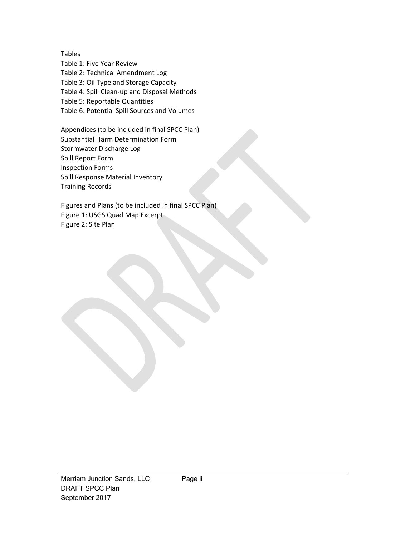Tables Table 1: Five Year Review Table 2: Technical Amendment Log Table 3: Oil Type and Storage Capacity Table 4: Spill Clean‐up and Disposal Methods Table 5: Reportable Quantities Table 6: Potential Spill Sources and Volumes

Appendices (to be included in final SPCC Plan) Substantial Harm Determination Form Stormwater Discharge Log Spill Report Form Inspection Forms Spill Response Material Inventory Training Records

Figures and Plans (to be included in final SPCC Plan) Figure 1: USGS Quad Map Excerpt Figure 2: Site Plan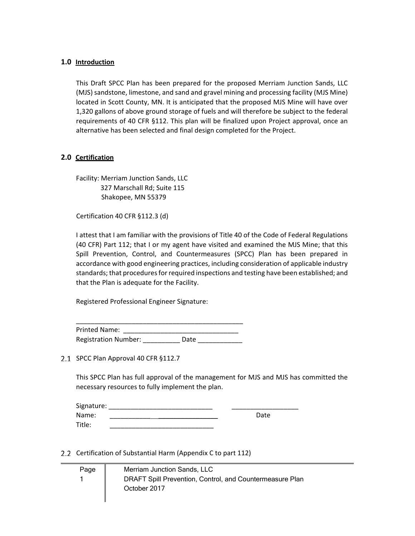#### **1.0 Introduction**

This Draft SPCC Plan has been prepared for the proposed Merriam Junction Sands, LLC (MJS) sandstone, limestone, and sand and gravel mining and processing facility (MJS Mine) located in Scott County, MN. It is anticipated that the proposed MJS Mine will have over 1,320 gallons of above ground storage of fuels and will therefore be subject to the federal requirements of 40 CFR §112. This plan will be finalized upon Project approval, once an alternative has been selected and final design completed for the Project.

#### **2.0 Certification**

Facility: Merriam Junction Sands, LLC 327 Marschall Rd; Suite 115 Shakopee, MN 55379

Certification 40 CFR §112.3 (d)

I attest that I am familiar with the provisions of Title 40 of the Code of Federal Regulations (40 CFR) Part 112; that I or my agent have visited and examined the MJS Mine; that this Spill Prevention, Control, and Countermeasures (SPCC) Plan has been prepared in accordance with good engineering practices, including consideration of applicable industry standards; that procedures for required inspections and testing have been established; and that the Plan is adequate for the Facility.

Registered Professional Engineer Signature:

\_\_\_\_\_\_\_\_\_\_\_\_\_\_\_\_\_\_\_\_\_\_\_\_\_\_\_\_\_\_\_\_\_\_\_\_\_\_\_\_\_\_\_\_\_ Printed Name: Registration Number: Date

2.1 SPCC Plan Approval 40 CFR §112.7

ı

This SPCC Plan has full approval of the management for MJS and MJS has committed the necessary resources to fully implement the plan.

| Signature: |      |
|------------|------|
| Name:      | Date |
| Title:     |      |

Certification of Substantial Harm (Appendix C to part 112)

| Page | Merriam Junction Sands, LLC                              |
|------|----------------------------------------------------------|
|      | DRAFT Spill Prevention, Control, and Countermeasure Plan |
|      | October 2017                                             |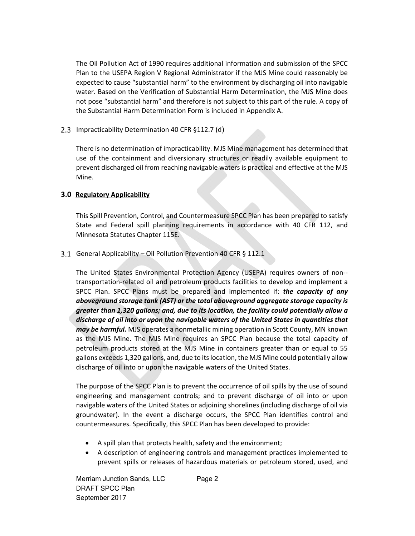The Oil Pollution Act of 1990 requires additional information and submission of the SPCC Plan to the USEPA Region V Regional Administrator if the MJS Mine could reasonably be expected to cause "substantial harm" to the environment by discharging oil into navigable water. Based on the Verification of Substantial Harm Determination, the MJS Mine does not pose "substantial harm" and therefore is not subject to this part of the rule. A copy of the Substantial Harm Determination Form is included in Appendix A.

2.3 Impracticability Determination 40 CFR §112.7 (d)

There is no determination of impracticability. MJS Mine management has determined that use of the containment and diversionary structures or readily available equipment to prevent discharged oil from reaching navigable waters is practical and effective at the MJS Mine.

# **3.0 Regulatory Applicability**

This Spill Prevention, Control, and Countermeasure SPCC Plan has been prepared to satisfy State and Federal spill planning requirements in accordance with 40 CFR 112, and Minnesota Statutes Chapter 115E.

# 3.1 General Applicability – Oil Pollution Prevention 40 CFR § 112.1

The United States Environmental Protection Agency (USEPA) requires owners of non-transportation‐related oil and petroleum products facilities to develop and implement a SPCC Plan. SPCC Plans must be prepared and implemented if: *the capacity of any aboveground storage tank (AST) or the total aboveground aggregate storage capacity is greater than 1,320 gallons; and, due to its location, the facility could potentially allow a discharge of oil into or upon the navigable waters of the United States in quantities that may be harmful.* MJS operates a nonmetallic mining operation in Scott County, MN known as the MJS Mine. The MJS Mine requires an SPCC Plan because the total capacity of petroleum products stored at the MJS Mine in containers greater than or equal to 55 gallons exceeds 1,320 gallons, and, due to its location, the MJS Mine could potentially allow discharge of oil into or upon the navigable waters of the United States.

The purpose of the SPCC Plan is to prevent the occurrence of oil spills by the use of sound engineering and management controls; and to prevent discharge of oil into or upon navigable waters of the United States or adjoining shorelines (including discharge of oil via groundwater). In the event a discharge occurs, the SPCC Plan identifies control and countermeasures. Specifically, this SPCC Plan has been developed to provide:

- A spill plan that protects health, safety and the environment;
- A description of engineering controls and management practices implemented to prevent spills or releases of hazardous materials or petroleum stored, used, and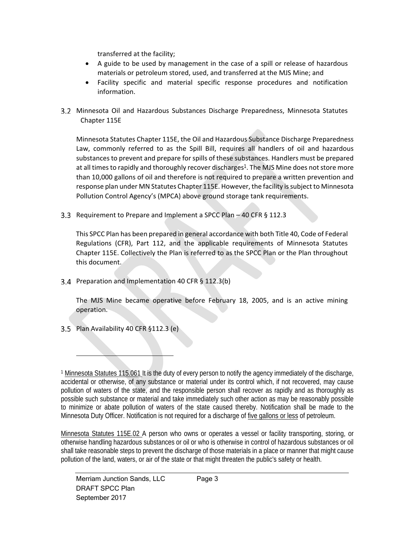transferred at the facility;

- A guide to be used by management in the case of a spill or release of hazardous materials or petroleum stored, used, and transferred at the MJS Mine; and
- Facility specific and material specific response procedures and notification information.
- 3.2 Minnesota Oil and Hazardous Substances Discharge Preparedness, Minnesota Statutes Chapter 115E

Minnesota Statutes Chapter 115E, the Oil and Hazardous Substance Discharge Preparedness Law, commonly referred to as the Spill Bill, requires all handlers of oil and hazardous substances to prevent and prepare for spills of these substances. Handlers must be prepared at all times to rapidly and thoroughly recover discharges<sup>1</sup>. The MJS Mine does not store more than 10,000 gallons of oil and therefore is not required to prepare a written prevention and response plan under MN Statutes Chapter 115E. However, the facility is subject to Minnesota Pollution Control Agency's (MPCA) above ground storage tank requirements.

8.3 Requirement to Prepare and Implement a SPCC Plan – 40 CFR § 112.3

This SPCC Plan has been prepared in general accordance with both Title 40, Code of Federal Regulations (CFR), Part 112, and the applicable requirements of Minnesota Statutes Chapter 115E. Collectively the Plan is referred to as the SPCC Plan or the Plan throughout this document.

3.4 Preparation and Implementation 40 CFR § 112.3(b)

The MJS Mine became operative before February 18, 2005, and is an active mining operation.

Plan Availability 40 CFR §112.3 (e)

1 Minnesota Statutes 115.061 It is the duty of every person to notify the agency immediately of the discharge, accidental or otherwise, of any substance or material under its control which, if not recovered, may cause pollution of waters of the state, and the responsible person shall recover as rapidly and as thoroughly as possible such substance or material and take immediately such other action as may be reasonably possible to minimize or abate pollution of waters of the state caused thereby. Notification shall be made to the Minnesota Duty Officer. Notification is not required for a discharge of five gallons or less of petroleum.

Minnesota Statutes 115E.02 A person who owns or operates a vessel or facility transporting, storing, or otherwise handling hazardous substances or oil or who is otherwise in control of hazardous substances or oil shall take reasonable steps to prevent the discharge of those materials in a place or manner that might cause pollution of the land, waters, or air of the state or that might threaten the public's safety or health.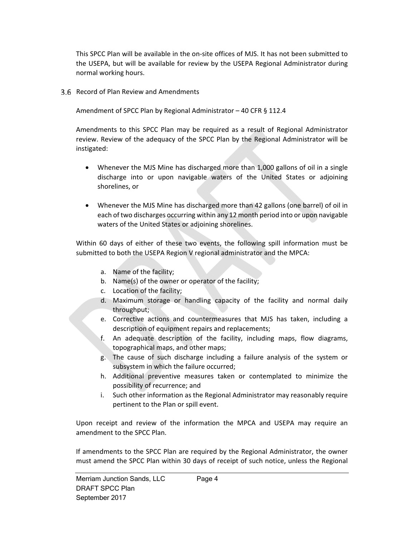This SPCC Plan will be available in the on‐site offices of MJS. It has not been submitted to the USEPA, but will be available for review by the USEPA Regional Administrator during normal working hours.

3.6 Record of Plan Review and Amendments

Amendment of SPCC Plan by Regional Administrator – 40 CFR § 112.4

Amendments to this SPCC Plan may be required as a result of Regional Administrator review. Review of the adequacy of the SPCC Plan by the Regional Administrator will be instigated:

- Whenever the MJS Mine has discharged more than 1,000 gallons of oil in a single discharge into or upon navigable waters of the United States or adjoining shorelines, or
- Whenever the MJS Mine has discharged more than 42 gallons (one barrel) of oil in each of two discharges occurring within any 12 month period into or upon navigable waters of the United States or adjoining shorelines.

Within 60 days of either of these two events, the following spill information must be submitted to both the USEPA Region V regional administrator and the MPCA:

- a. Name of the facility;
- b. Name(s) of the owner or operator of the facility;
- c. Location of the facility;
- d. Maximum storage or handling capacity of the facility and normal daily throughput;
- e. Corrective actions and countermeasures that MJS has taken, including a description of equipment repairs and replacements;
- f. An adequate description of the facility, including maps, flow diagrams, topographical maps, and other maps;
- g. The cause of such discharge including a failure analysis of the system or subsystem in which the failure occurred;
- h. Additional preventive measures taken or contemplated to minimize the possibility of recurrence; and
- i. Such other information as the Regional Administrator may reasonably require pertinent to the Plan or spill event.

Upon receipt and review of the information the MPCA and USEPA may require an amendment to the SPCC Plan.

If amendments to the SPCC Plan are required by the Regional Administrator, the owner must amend the SPCC Plan within 30 days of receipt of such notice, unless the Regional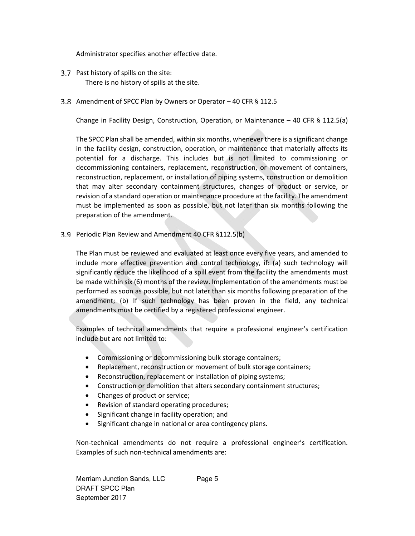Administrator specifies another effective date.

- 3.7 Past history of spills on the site: There is no history of spills at the site.
- 3.8 Amendment of SPCC Plan by Owners or Operator 40 CFR § 112.5

Change in Facility Design, Construction, Operation, or Maintenance  $-40$  CFR § 112.5(a)

The SPCC Plan shall be amended, within six months, whenever there is a significant change in the facility design, construction, operation, or maintenance that materially affects its potential for a discharge. This includes but is not limited to commissioning or decommissioning containers, replacement, reconstruction, or movement of containers, reconstruction, replacement, or installation of piping systems, construction or demolition that may alter secondary containment structures, changes of product or service, or revision of a standard operation or maintenance procedure at the facility. The amendment must be implemented as soon as possible, but not later than six months following the preparation of the amendment.

3.9 Periodic Plan Review and Amendment 40 CFR §112.5(b)

The Plan must be reviewed and evaluated at least once every five years, and amended to include more effective prevention and control technology, if: (a) such technology will significantly reduce the likelihood of a spill event from the facility the amendments must be made within six (6) months of the review. Implementation of the amendments must be performed as soon as possible, but not later than six months following preparation of the amendment; (b) If such technology has been proven in the field, any technical amendments must be certified by a registered professional engineer.

Examples of technical amendments that require a professional engineer's certification include but are not limited to:

- Commissioning or decommissioning bulk storage containers;
- Replacement, reconstruction or movement of bulk storage containers;
- Reconstruction, replacement or installation of piping systems;
- Construction or demolition that alters secondary containment structures;
- Changes of product or service;
- Revision of standard operating procedures;
- Significant change in facility operation; and
- Significant change in national or area contingency plans.

Non-technical amendments do not require a professional engineer's certification. Examples of such non-technical amendments are: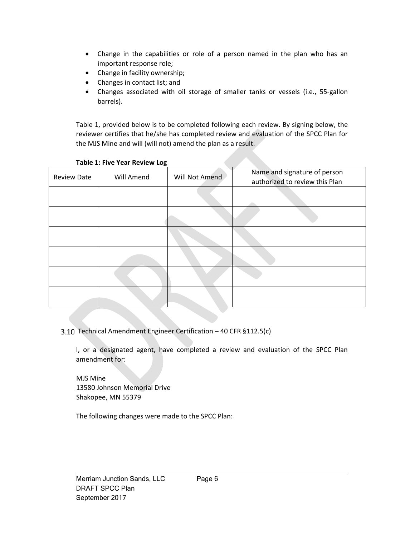- Change in the capabilities or role of a person named in the plan who has an important response role;
- Change in facility ownership;
- Changes in contact list; and
- Changes associated with oil storage of smaller tanks or vessels (i.e., 55‐gallon barrels).

Table 1, provided below is to be completed following each review. By signing below, the reviewer certifies that he/she has completed review and evaluation of the SPCC Plan for the MJS Mine and will (will not) amend the plan as a result.

| rable 2: The Tear Review Eug |            |                |                                                                |  |  |
|------------------------------|------------|----------------|----------------------------------------------------------------|--|--|
| <b>Review Date</b>           | Will Amend | Will Not Amend | Name and signature of person<br>authorized to review this Plan |  |  |
|                              |            |                |                                                                |  |  |
|                              |            |                |                                                                |  |  |
|                              |            |                |                                                                |  |  |
|                              |            |                |                                                                |  |  |
|                              |            |                |                                                                |  |  |
|                              |            |                |                                                                |  |  |

#### **Table 1: Five Year Review Log**

3.10 Technical Amendment Engineer Certification - 40 CFR §112.5(c)

I, or a designated agent, have completed a review and evaluation of the SPCC Plan amendment for:

 MJS Mine 13580 Johnson Memorial Drive Shakopee, MN 55379

The following changes were made to the SPCC Plan: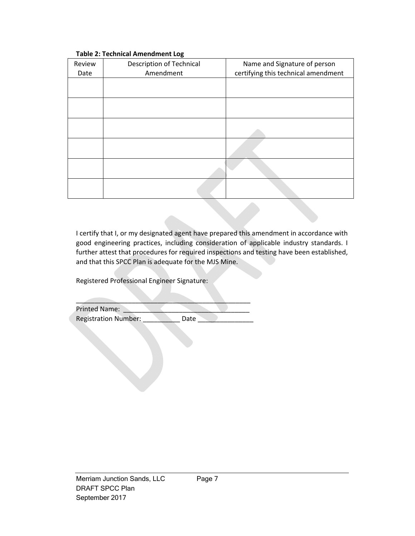| Review<br>Date | <b>Description of Technical</b><br>Amendment | Name and Signature of person<br>certifying this technical amendment |
|----------------|----------------------------------------------|---------------------------------------------------------------------|
|                |                                              |                                                                     |
|                |                                              |                                                                     |
|                |                                              |                                                                     |
|                |                                              |                                                                     |
|                |                                              |                                                                     |
|                |                                              |                                                                     |

#### **Table 2: Technical Amendment Log**

I certify that I, or my designated agent have prepared this amendment in accordance with good engineering practices, including consideration of applicable industry standards. I further attest that procedures for required inspections and testing have been established, and that this SPCC Plan is adequate for the MJS Mine.

Registered Professional Engineer Signature:

| <b>Printed Name:</b>        |      |  |
|-----------------------------|------|--|
| <b>Registration Number:</b> | Date |  |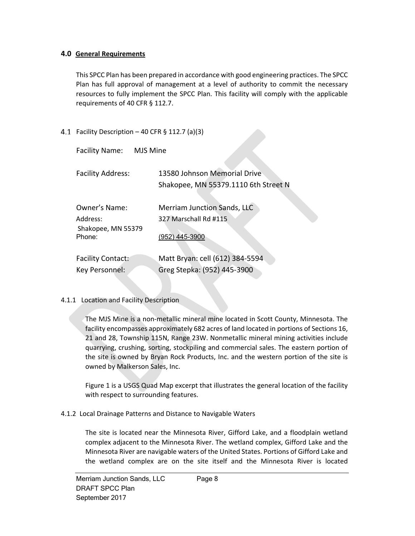## **4.0 General Requirements**

This SPCC Plan has been prepared in accordance with good engineering practices. The SPCC Plan has full approval of management at a level of authority to commit the necessary resources to fully implement the SPCC Plan. This facility will comply with the applicable requirements of 40 CFR § 112.7.

4.1 Facility Description  $-40$  CFR § 112.7 (a)(3)

| <b>Facility Name:</b>                                     | MJS Mine                                                                      |
|-----------------------------------------------------------|-------------------------------------------------------------------------------|
| <b>Facility Address:</b>                                  | 13580 Johnson Memorial Drive<br>Shakopee, MN 55379.1110 6th Street N          |
| Owner's Name:<br>Address:<br>Shakopee, MN 55379<br>Phone: | <b>Merriam Junction Sands, LLC</b><br>327 Marschall Rd #115<br>(952) 445-3900 |
| <b>Facility Contact:</b><br>Key Personnel:                | Matt Bryan: cell (612) 384-5594<br>Greg Stepka: (952) 445-3900                |

4.1.1 Location and Facility Description

The MJS Mine is a non‐metallic mineral mine located in Scott County, Minnesota. The facility encompasses approximately 682 acres of land located in portions of Sections 16, 21 and 28, Township 115N, Range 23W. Nonmetallic mineral mining activities include quarrying, crushing, sorting, stockpiling and commercial sales. The eastern portion of the site is owned by Bryan Rock Products, Inc. and the western portion of the site is owned by Malkerson Sales, Inc.

Figure 1 is a USGS Quad Map excerpt that illustrates the general location of the facility with respect to surrounding features.

4.1.2 Local Drainage Patterns and Distance to Navigable Waters

The site is located near the Minnesota River, Gifford Lake, and a floodplain wetland complex adjacent to the Minnesota River. The wetland complex, Gifford Lake and the Minnesota River are navigable waters of the United States. Portions of Gifford Lake and the wetland complex are on the site itself and the Minnesota River is located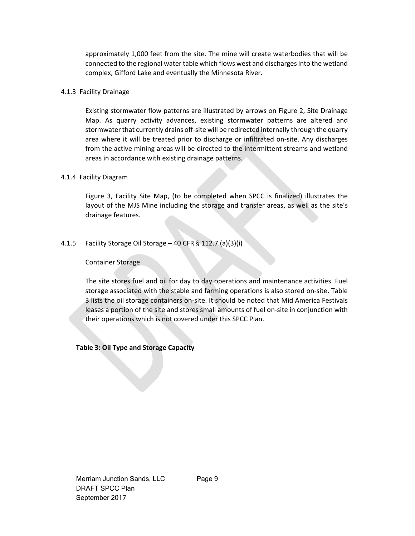approximately 1,000 feet from the site. The mine will create waterbodies that will be connected to the regional water table which flows west and discharges into the wetland complex, Gifford Lake and eventually the Minnesota River.

#### 4.1.3 Facility Drainage

Existing stormwater flow patterns are illustrated by arrows on Figure 2, Site Drainage Map. As quarry activity advances, existing stormwater patterns are altered and stormwater that currently drains off‐site will be redirected internally through the quarry area where it will be treated prior to discharge or infiltrated on‐site. Any discharges from the active mining areas will be directed to the intermittent streams and wetland areas in accordance with existing drainage patterns.

## 4.1.4 Facility Diagram

Figure 3, Facility Site Map, (to be completed when SPCC is finalized) illustrates the layout of the MJS Mine including the storage and transfer areas, as well as the site's drainage features.

## 4.1.5 Facility Storage Oil Storage – 40 CFR § 112.7 (a)(3)(i)

## Container Storage

The site stores fuel and oil for day to day operations and maintenance activities. Fuel storage associated with the stable and farming operations is also stored on‐site. Table 3 lists the oil storage containers on‐site. It should be noted that Mid America Festivals leases a portion of the site and stores small amounts of fuel on‐site in conjunction with their operations which is not covered under this SPCC Plan.

## **Table 3: Oil Type and Storage Capacity**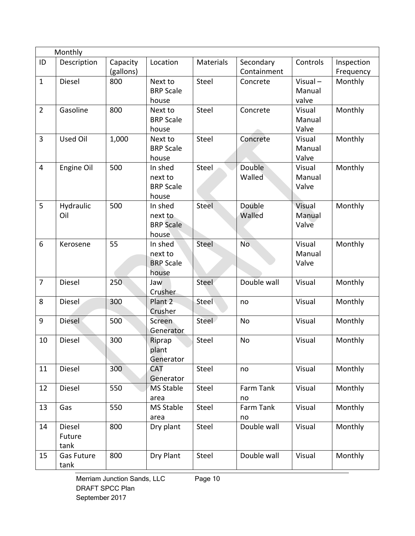|                      | Monthly                                                                       |                          |                                                                                             |                                  |                                                                  |                                      |                                          |
|----------------------|-------------------------------------------------------------------------------|--------------------------|---------------------------------------------------------------------------------------------|----------------------------------|------------------------------------------------------------------|--------------------------------------|------------------------------------------|
| ID                   | Description                                                                   | Capacity                 | Location                                                                                    | <b>Materials</b>                 | Secondary                                                        | Controls                             | Inspection                               |
|                      |                                                                               | (gallons)                |                                                                                             |                                  | Containment                                                      |                                      | Frequency                                |
| $\mathbf{1}$         | Diesel                                                                        | 800                      | Next to                                                                                     | Steel                            | Concrete                                                         | $Visual -$                           | Monthly                                  |
|                      |                                                                               |                          | <b>BRP Scale</b>                                                                            |                                  |                                                                  | Manual                               |                                          |
|                      |                                                                               |                          | house                                                                                       |                                  |                                                                  | valve                                |                                          |
| $\overline{2}$       | Gasoline                                                                      | 800                      | Next to                                                                                     | Steel                            | Concrete                                                         | Visual                               | Monthly                                  |
|                      |                                                                               |                          | <b>BRP Scale</b>                                                                            |                                  |                                                                  | Manual                               |                                          |
|                      |                                                                               |                          | house                                                                                       |                                  |                                                                  | Valve                                |                                          |
| $\overline{3}$       | <b>Used Oil</b>                                                               | 1,000                    | Next to                                                                                     | Steel                            | Concrete                                                         | Visual                               | Monthly                                  |
|                      |                                                                               |                          | <b>BRP Scale</b>                                                                            |                                  |                                                                  | Manual                               |                                          |
|                      |                                                                               |                          | house                                                                                       |                                  |                                                                  | Valve                                |                                          |
| $\overline{4}$       | Engine Oil                                                                    | 500                      | In shed                                                                                     | Steel                            | Double                                                           | Visual                               | Monthly                                  |
|                      |                                                                               |                          | next to                                                                                     |                                  | Walled                                                           | Manual                               |                                          |
|                      |                                                                               |                          | <b>BRP Scale</b>                                                                            |                                  |                                                                  | Valve                                |                                          |
| 5                    | Hydraulic                                                                     | 500                      | house<br>In shed                                                                            | Steel                            | Double                                                           | Visual                               | Monthly                                  |
|                      | Oil                                                                           |                          | next to                                                                                     |                                  | Walled                                                           | Manual                               |                                          |
|                      |                                                                               |                          | <b>BRP</b> Scale                                                                            |                                  |                                                                  | Valve                                |                                          |
|                      |                                                                               |                          | house                                                                                       |                                  |                                                                  |                                      |                                          |
| 6                    | Kerosene                                                                      | 55                       | In shed                                                                                     | Steel                            | No.                                                              | Visual                               | Monthly                                  |
|                      |                                                                               |                          | next to                                                                                     |                                  |                                                                  | Manual                               |                                          |
|                      |                                                                               |                          | <b>BRP Scale</b>                                                                            |                                  |                                                                  | Valve                                |                                          |
|                      |                                                                               |                          | house                                                                                       |                                  |                                                                  |                                      |                                          |
| $\overline{7}$       | Diesel                                                                        | 250                      | Jaw                                                                                         | Steel                            | Double wall                                                      | Visual                               | Monthly                                  |
|                      |                                                                               |                          | Crusher                                                                                     |                                  |                                                                  |                                      |                                          |
| 8                    | Diesel                                                                        | 300                      | Plant 2                                                                                     | Steel                            | no                                                               | Visual                               | Monthly                                  |
|                      |                                                                               |                          | Crusher                                                                                     |                                  |                                                                  |                                      |                                          |
| 9                    | <b>Diesel</b>                                                                 | 500                      | Screen                                                                                      | Steel                            | No                                                               | Visual                               | Monthly                                  |
|                      |                                                                               |                          | Generator                                                                                   |                                  |                                                                  |                                      |                                          |
| 10                   | Diesel                                                                        | 300                      | Riprap                                                                                      | Steel                            | No                                                               | Visual                               | Monthly                                  |
|                      |                                                                               |                          | plant                                                                                       |                                  |                                                                  |                                      |                                          |
|                      |                                                                               |                          | Generator                                                                                   |                                  |                                                                  |                                      |                                          |
| 11                   | Diesel                                                                        | 300                      | <b>CAT</b>                                                                                  | Steel                            | no                                                               | Visual                               | Monthly                                  |
|                      |                                                                               |                          |                                                                                             |                                  |                                                                  |                                      |                                          |
|                      |                                                                               |                          |                                                                                             |                                  |                                                                  |                                      |                                          |
|                      |                                                                               |                          |                                                                                             |                                  |                                                                  |                                      |                                          |
|                      |                                                                               |                          |                                                                                             |                                  |                                                                  |                                      |                                          |
|                      |                                                                               |                          |                                                                                             |                                  |                                                                  |                                      |                                          |
|                      |                                                                               |                          |                                                                                             |                                  |                                                                  |                                      |                                          |
|                      |                                                                               |                          |                                                                                             |                                  |                                                                  |                                      |                                          |
|                      |                                                                               |                          |                                                                                             |                                  |                                                                  |                                      |                                          |
|                      |                                                                               |                          |                                                                                             |                                  |                                                                  |                                      |                                          |
| 12<br>13<br>14<br>15 | Diesel<br>Gas<br><b>Diesel</b><br>Future<br>tank<br><b>Gas Future</b><br>tank | 550<br>550<br>800<br>800 | Generator<br><b>MS Stable</b><br>area<br><b>MS Stable</b><br>area<br>Dry plant<br>Dry Plant | Steel<br>Steel<br>Steel<br>Steel | Farm Tank<br>no<br>Farm Tank<br>no<br>Double wall<br>Double wall | Visual<br>Visual<br>Visual<br>Visual | Monthly<br>Monthly<br>Monthly<br>Monthly |

Merriam Junction Sands, LLC Page 10 DRAFT SPCC Plan September 2017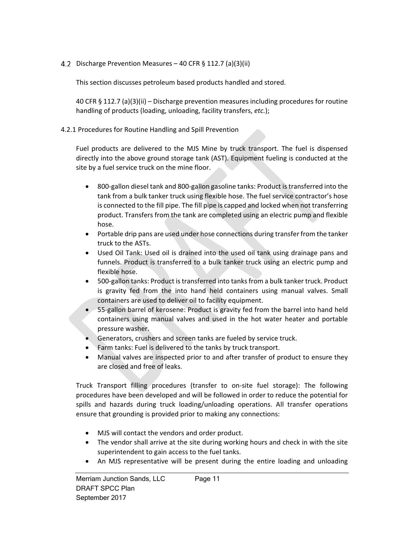Discharge Prevention Measures – 40 CFR § 112.7 (a)(3)(ii)

This section discusses petroleum based products handled and stored.

40 CFR § 112.7 (a)(3)(ii) – Discharge prevention measures including procedures for routine handling of products (loading, unloading, facility transfers, *etc.*);

4.2.1 Procedures for Routine Handling and Spill Prevention

Fuel products are delivered to the MJS Mine by truck transport. The fuel is dispensed directly into the above ground storage tank (AST). Equipment fueling is conducted at the site by a fuel service truck on the mine floor.

- 800‐gallon diesel tank and 800‐gallon gasoline tanks: Product is transferred into the tank from a bulk tanker truck using flexible hose. The fuel service contractor's hose is connected to the fill pipe. The fill pipe is capped and locked when not transferring product. Transfers from the tank are completed using an electric pump and flexible hose.
- Portable drip pans are used under hose connections during transfer from the tanker truck to the ASTs.
- Used Oil Tank: Used oil is drained into the used oil tank using drainage pans and funnels. Product is transferred to a bulk tanker truck using an electric pump and flexible hose.
- 500-gallon tanks: Product is transferred into tanks from a bulk tanker truck. Product is gravity fed from the into hand held containers using manual valves. Small containers are used to deliver oil to facility equipment.
- 55-gallon barrel of kerosene: Product is gravity fed from the barrel into hand held containers using manual valves and used in the hot water heater and portable pressure washer.
- Generators, crushers and screen tanks are fueled by service truck.
- Farm tanks: Fuel is delivered to the tanks by truck transport.
- Manual valves are inspected prior to and after transfer of product to ensure they are closed and free of leaks.

Truck Transport filling procedures (transfer to on‐site fuel storage): The following procedures have been developed and will be followed in order to reduce the potential for spills and hazards during truck loading/unloading operations. All transfer operations ensure that grounding is provided prior to making any connections:

- MJS will contact the vendors and order product.
- The vendor shall arrive at the site during working hours and check in with the site superintendent to gain access to the fuel tanks.
- An MJS representative will be present during the entire loading and unloading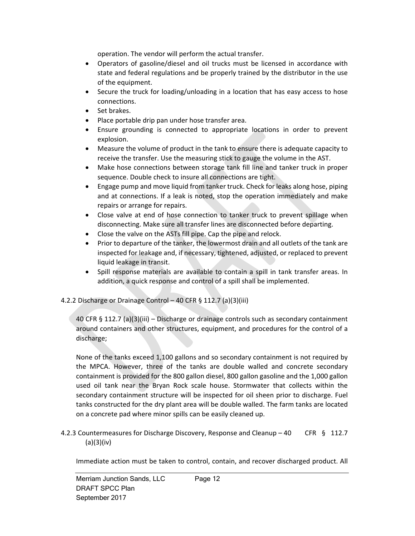operation. The vendor will perform the actual transfer.

- Operators of gasoline/diesel and oil trucks must be licensed in accordance with state and federal regulations and be properly trained by the distributor in the use of the equipment.
- Secure the truck for loading/unloading in a location that has easy access to hose connections.
- Set brakes.
- Place portable drip pan under hose transfer area.
- Ensure grounding is connected to appropriate locations in order to prevent explosion.
- Measure the volume of product in the tank to ensure there is adequate capacity to receive the transfer. Use the measuring stick to gauge the volume in the AST.
- Make hose connections between storage tank fill line and tanker truck in proper sequence. Double check to insure all connections are tight.
- Engage pump and move liquid from tanker truck. Check for leaks along hose, piping and at connections. If a leak is noted, stop the operation immediately and make repairs or arrange for repairs.
- Close valve at end of hose connection to tanker truck to prevent spillage when disconnecting. Make sure all transfer lines are disconnected before departing.
- Close the valve on the ASTs fill pipe. Cap the pipe and relock.
- Prior to departure of the tanker, the lowermost drain and all outlets of the tank are inspected for leakage and, if necessary, tightened, adjusted, or replaced to prevent liquid leakage in transit.
- Spill response materials are available to contain a spill in tank transfer areas. In addition, a quick response and control of a spill shall be implemented.

## 4.2.2 Discharge or Drainage Control – 40 CFR § 112.7 (a)(3)(iii)

40 CFR § 112.7 (a)(3)(iii) – Discharge or drainage controls such as secondary containment around containers and other structures, equipment, and procedures for the control of a discharge;

None of the tanks exceed 1,100 gallons and so secondary containment is not required by the MPCA. However, three of the tanks are double walled and concrete secondary containment is provided for the 800 gallon diesel, 800 gallon gasoline and the 1,000 gallon used oil tank near the Bryan Rock scale house. Stormwater that collects within the secondary containment structure will be inspected for oil sheen prior to discharge. Fuel tanks constructed for the dry plant area will be double walled. The farm tanks are located on a concrete pad where minor spills can be easily cleaned up.

4.2.3 Countermeasures for Discharge Discovery, Response and Cleanup – 40 CFR § 112.7 (a)(3)(iv)

Immediate action must be taken to control, contain, and recover discharged product. All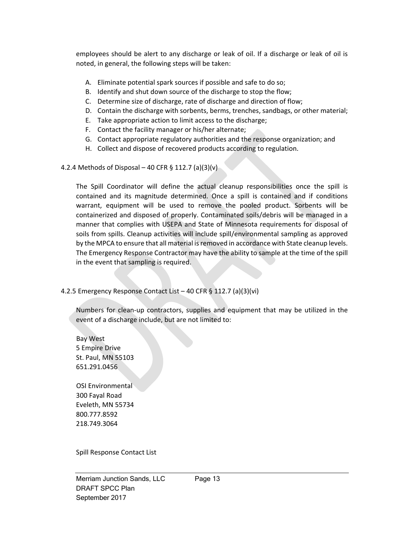employees should be alert to any discharge or leak of oil. If a discharge or leak of oil is noted, in general, the following steps will be taken:

- A. Eliminate potential spark sources if possible and safe to do so;
- B. Identify and shut down source of the discharge to stop the flow;
- C. Determine size of discharge, rate of discharge and direction of flow;
- D. Contain the discharge with sorbents, berms, trenches, sandbags, or other material;
- E. Take appropriate action to limit access to the discharge;
- F. Contact the facility manager or his/her alternate;
- G. Contact appropriate regulatory authorities and the response organization; and
- H. Collect and dispose of recovered products according to regulation.
- 4.2.4 Methods of Disposal 40 CFR § 112.7 (a)(3)(v)

The Spill Coordinator will define the actual cleanup responsibilities once the spill is contained and its magnitude determined. Once a spill is contained and if conditions warrant, equipment will be used to remove the pooled product. Sorbents will be containerized and disposed of properly. Contaminated soils/debris will be managed in a manner that complies with USEPA and State of Minnesota requirements for disposal of soils from spills. Cleanup activities will include spill/environmental sampling as approved by the MPCA to ensure that all material is removed in accordance with State cleanup levels. The Emergency Response Contractor may have the ability to sample at the time of the spill in the event that sampling is required.

4.2.5 Emergency Response Contact List – 40 CFR § 112.7 (a)(3)(vi)

Numbers for clean‐up contractors, supplies and equipment that may be utilized in the event of a discharge include, but are not limited to:

 Bay West 5 Empire Drive St. Paul, MN 55103 651.291.0456

 OSI Environmental 300 Fayal Road Eveleth, MN 55734 800.777.8592 218.749.3064

Spill Response Contact List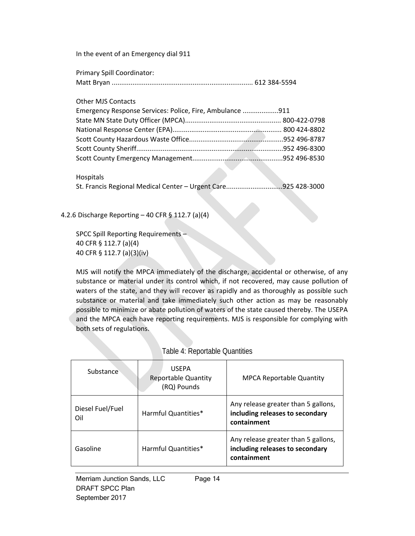In the event of an Emergency dial 911

| Primary Spill Coordinator: |  |
|----------------------------|--|
|                            |  |

Other MJS Contacts

| Emergency Response Services: Police, Fire, Ambulance 911 |  |  |  |
|----------------------------------------------------------|--|--|--|
|                                                          |  |  |  |
|                                                          |  |  |  |
|                                                          |  |  |  |
|                                                          |  |  |  |
|                                                          |  |  |  |

Hospitals

St. Francis Regional Medical Center – Urgent Care..............................925 428‐3000

4.2.6 Discharge Reporting – 40 CFR § 112.7 (a)(4)

SPCC Spill Reporting Requirements – 40 CFR § 112.7 (a)(4) 40 CFR § 112.7 (a)(3)(iv)

MJS will notify the MPCA immediately of the discharge, accidental or otherwise, of any substance or material under its control which, if not recovered, may cause pollution of waters of the state, and they will recover as rapidly and as thoroughly as possible such substance or material and take immediately such other action as may be reasonably possible to minimize or abate pollution of waters of the state caused thereby. The USEPA and the MPCA each have reporting requirements. MJS is responsible for complying with both sets of regulations.

| Substance               | <b>USEPA</b><br><b>Reportable Quantity</b><br>(RQ) Pounds | <b>MPCA Reportable Quantity</b>                                                       |
|-------------------------|-----------------------------------------------------------|---------------------------------------------------------------------------------------|
| Diesel Fuel/Fuel<br>Oil | Harmful Quantities*                                       | Any release greater than 5 gallons,<br>including releases to secondary<br>containment |
| Gasoline                | Harmful Quantities*                                       | Any release greater than 5 gallons,<br>including releases to secondary<br>containment |

#### Table 4: Reportable Quantities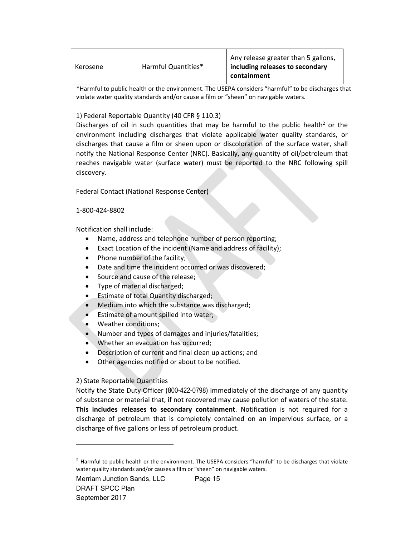| Kerosene | Harmful Quantities* | Any release greater than 5 gallons,<br>including releases to secondary<br>containment |
|----------|---------------------|---------------------------------------------------------------------------------------|
|----------|---------------------|---------------------------------------------------------------------------------------|

\*Harmful to public health or the environment. The USEPA considers "harmful" to be discharges that violate water quality standards and/or cause a film or "sheen" on navigable waters.

#### 1) Federal Reportable Quantity (40 CFR § 110.3)

Discharges of oil in such quantities that may be harmful to the public health<sup>2</sup> or the environment including discharges that violate applicable water quality standards, or discharges that cause a film or sheen upon or discoloration of the surface water, shall notify the National Response Center (NRC). Basically, any quantity of oil/petroleum that reaches navigable water (surface water) must be reported to the NRC following spill discovery.

Federal Contact (National Response Center)

#### 1‐800‐424‐8802

Notification shall include:

- Name, address and telephone number of person reporting;
- Exact Location of the incident (Name and address of facility);
- Phone number of the facility;
- Date and time the incident occurred or was discovered;
- Source and cause of the release:
- Type of material discharged;
- Estimate of total Quantity discharged;
- Medium into which the substance was discharged;
- Estimate of amount spilled into water;
- Weather conditions;
- Number and types of damages and injuries/fatalities;
- Whether an evacuation has occurred;
- Description of current and final clean up actions; and
- Other agencies notified or about to be notified.

#### 2) State Reportable Quantities

Notify the State Duty Officer (800-422-0798) immediately of the discharge of any quantity of substance or material that, if not recovered may cause pollution of waters of the state. **This includes releases to secondary containment**. Notification is not required for a discharge of petroleum that is completely contained on an impervious surface, or a discharge of five gallons or less of petroleum product.

 $<sup>2</sup>$  Harmful to public health or the environment. The USEPA considers "harmful" to be discharges that violate</sup> water quality standards and/or causes a film or "sheen" on navigable waters.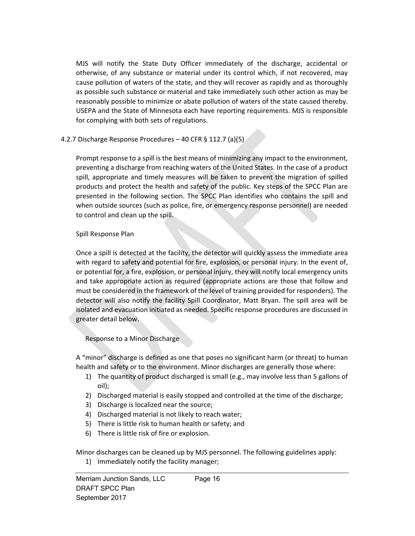MJS will notify the State Duty Officer immediately of the discharge, accidental or otherwise, of any substance or material under its control which, if not recovered, may cause pollution of waters of the state, and they will recover as rapidly and as thoroughly as possible such substance or material and take immediately such other action as may be reasonably possible to minimize or abate pollution of waters of the state caused thereby. USEPA and the State of Minnesota each have reporting requirements. MJS is responsible for complying with both sets of regulations.

## 4.2.7 Discharge Response Procedures – 40 CFR § 112.7 (a)(5)

Prompt response to a spill is the best means of minimizing any impact to the environment, preventing a discharge from reaching waters of the United States. In the case of a product spill, appropriate and timely measures will be taken to prevent the migration of spilled products and protect the health and safety of the public. Key steps of the SPCC Plan are presented in the following section. The SPCC Plan identifies who contains the spill and when outside sources (such as police, fire, or emergency response personnel) are needed to control and clean up the spill.

## Spill Response Plan

Once a spill is detected at the facility, the detector will quickly assess the immediate area with regard to safety and potential for fire, explosion, or personal injury. In the event of, or potential for, a fire, explosion, or personal injury, they will notify local emergency units and take appropriate action as required (appropriate actions are those that follow and must be considered in the framework of the level of training provided for responders). The detector will also notify the facility Spill Coordinator, Matt Bryan. The spill area will be isolated and evacuation initiated as needed. Specific response procedures are discussed in greater detail below.

# Response to a Minor Discharge

A "minor" discharge is defined as one that poses no significant harm (or threat) to human health and safety or to the environment. Minor discharges are generally those where:

- 1) The quantity of product discharged is small (e.g., may involve less than 5 gallons of oil);
- 2) Discharged material is easily stopped and controlled at the time of the discharge;
- 3) Discharge is localized near the source;
- 4) Discharged material is not likely to reach water;
- 5) There is little risk to human health or safety; and
- 6) There is little risk of fire or explosion.

Minor discharges can be cleaned up by MJS personnel. The following guidelines apply:

1) Immediately notify the facility manager;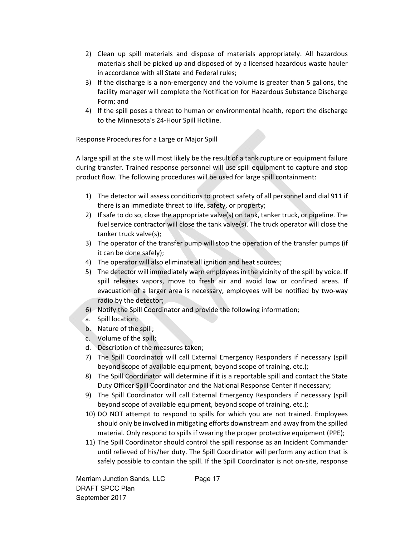- 2) Clean up spill materials and dispose of materials appropriately. All hazardous materials shall be picked up and disposed of by a licensed hazardous waste hauler in accordance with all State and Federal rules;
- 3) If the discharge is a non‐emergency and the volume is greater than 5 gallons, the facility manager will complete the Notification for Hazardous Substance Discharge Form; and
- 4) If the spill poses a threat to human or environmental health, report the discharge to the Minnesota's 24‐Hour Spill Hotline.

Response Procedures for a Large or Major Spill

A large spill at the site will most likely be the result of a tank rupture or equipment failure during transfer. Trained response personnel will use spill equipment to capture and stop product flow. The following procedures will be used for large spill containment:

- 1) The detector will assess conditions to protect safety of all personnel and dial 911 if there is an immediate threat to life, safety, or property;
- 2) If safe to do so, close the appropriate valve(s) on tank, tanker truck, or pipeline. The fuel service contractor will close the tank valve(s). The truck operator will close the tanker truck valve(s);
- 3) The operator of the transfer pump will stop the operation of the transfer pumps (if it can be done safely);
- 4) The operator will also eliminate all ignition and heat sources;
- 5) The detector will immediately warn employees in the vicinity of the spill by voice. If spill releases vapors, move to fresh air and avoid low or confined areas. If evacuation of a larger area is necessary, employees will be notified by two-way radio by the detector;
- 6) Notify the Spill Coordinator and provide the following information;
- a. Spill location;
- b. Nature of the spill;
- c. Volume of the spill;
- d. Description of the measures taken;
- 7) The Spill Coordinator will call External Emergency Responders if necessary (spill beyond scope of available equipment, beyond scope of training, etc.);
- 8) The Spill Coordinator will determine if it is a reportable spill and contact the State Duty Officer Spill Coordinator and the National Response Center if necessary;
- 9) The Spill Coordinator will call External Emergency Responders if necessary (spill beyond scope of available equipment, beyond scope of training, etc.);
- 10) DO NOT attempt to respond to spills for which you are not trained. Employees should only be involved in mitigating efforts downstream and away from the spilled material. Only respond to spills if wearing the proper protective equipment (PPE);
- 11) The Spill Coordinator should control the spill response as an Incident Commander until relieved of his/her duty. The Spill Coordinator will perform any action that is safely possible to contain the spill. If the Spill Coordinator is not on-site, response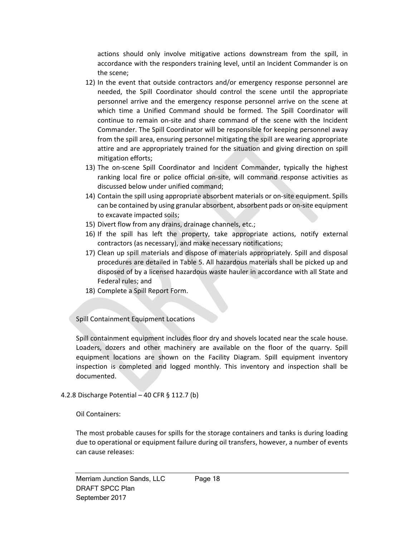actions should only involve mitigative actions downstream from the spill, in accordance with the responders training level, until an Incident Commander is on the scene;

- 12) In the event that outside contractors and/or emergency response personnel are needed, the Spill Coordinator should control the scene until the appropriate personnel arrive and the emergency response personnel arrive on the scene at which time a Unified Command should be formed. The Spill Coordinator will continue to remain on-site and share command of the scene with the Incident Commander. The Spill Coordinator will be responsible for keeping personnel away from the spill area, ensuring personnel mitigating the spill are wearing appropriate attire and are appropriately trained for the situation and giving direction on spill mitigation efforts;
- 13) The on-scene Spill Coordinator and Incident Commander, typically the highest ranking local fire or police official on-site, will command response activities as discussed below under unified command;
- 14) Contain the spill using appropriate absorbent materials or on‐site equipment. Spills can be contained by using granular absorbent, absorbent pads or on‐site equipment to excavate impacted soils;
- 15) Divert flow from any drains, drainage channels, etc.;
- 16) If the spill has left the property, take appropriate actions, notify external contractors (as necessary), and make necessary notifications;
- 17) Clean up spill materials and dispose of materials appropriately. Spill and disposal procedures are detailed in Table 5. All hazardous materials shall be picked up and disposed of by a licensed hazardous waste hauler in accordance with all State and Federal rules; and
- 18) Complete a Spill Report Form.

Spill Containment Equipment Locations

Spill containment equipment includes floor dry and shovels located near the scale house. Loaders, dozers and other machinery are available on the floor of the quarry. Spill equipment locations are shown on the Facility Diagram. Spill equipment inventory inspection is completed and logged monthly. This inventory and inspection shall be documented.

## 4.2.8 Discharge Potential – 40 CFR § 112.7 (b)

## Oil Containers:

The most probable causes for spills for the storage containers and tanks is during loading due to operational or equipment failure during oil transfers, however, a number of events can cause releases: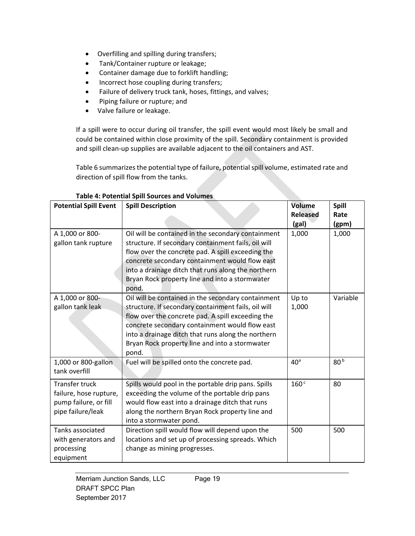- Overfilling and spilling during transfers;
- Tank/Container rupture or leakage;
- Container damage due to forklift handling;
- Incorrect hose coupling during transfers;
- Failure of delivery truck tank, hoses, fittings, and valves;
- Piping failure or rupture; and
- Valve failure or leakage.

If a spill were to occur during oil transfer, the spill event would most likely be small and could be contained within close proximity of the spill. Secondary containment is provided and spill clean‐up supplies are available adjacent to the oil containers and AST.

Table 6 summarizes the potential type of failure, potential spill volume, estimated rate and direction of spill flow from the tanks.

| <b>Potential Spill Event</b>                                                                  | <b>Spill Description</b>                                                                                                                                                                                                                                                                                                          | <b>Volume</b><br><b>Released</b><br>(gal) | <b>Spill</b><br>Rate<br>(gpm) |
|-----------------------------------------------------------------------------------------------|-----------------------------------------------------------------------------------------------------------------------------------------------------------------------------------------------------------------------------------------------------------------------------------------------------------------------------------|-------------------------------------------|-------------------------------|
| A 1,000 or 800-<br>gallon tank rupture                                                        | Oil will be contained in the secondary containment<br>structure. If secondary containment fails, oil will<br>flow over the concrete pad. A spill exceeding the<br>concrete secondary containment would flow east<br>into a drainage ditch that runs along the northern<br>Bryan Rock property line and into a stormwater<br>pond. | 1,000                                     | 1,000                         |
| A 1,000 or 800-<br>gallon tank leak                                                           | Oil will be contained in the secondary containment<br>structure. If secondary containment fails, oil will<br>flow over the concrete pad. A spill exceeding the<br>concrete secondary containment would flow east<br>into a drainage ditch that runs along the northern<br>Bryan Rock property line and into a stormwater<br>pond. | Up to<br>1,000                            | Variable                      |
| 1,000 or 800-gallon<br>tank overfill                                                          | Fuel will be spilled onto the concrete pad.                                                                                                                                                                                                                                                                                       | 40 <sup>a</sup>                           | 80 <sub>b</sub>               |
| <b>Transfer truck</b><br>failure, hose rupture,<br>pump failure, or fill<br>pipe failure/leak | Spills would pool in the portable drip pans. Spills<br>exceeding the volume of the portable drip pans<br>would flow east into a drainage ditch that runs<br>along the northern Bryan Rock property line and<br>into a stormwater pond.                                                                                            | 160 <sup>c</sup>                          | 80                            |
| Tanks associated<br>with generators and<br>processing<br>equipment                            | Direction spill would flow will depend upon the<br>locations and set up of processing spreads. Which<br>change as mining progresses.                                                                                                                                                                                              | 500                                       | 500                           |

# **Table 4: Potential Spill Sources and Volumes**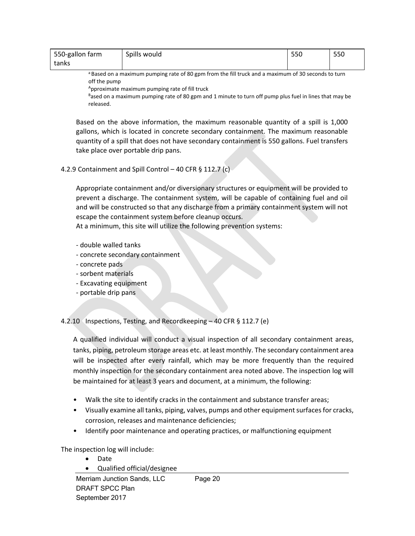| 550-gallon farm | Spills would | 550 | 550 |
|-----------------|--------------|-----|-----|
| tanks           |              |     |     |

a Based on a maximum pumping rate of 80 gpm from the fill truck and a maximum of 30 seconds to turn off the pump

Approximate maximum pumping rate of fill truck

Based on a maximum pumping rate of 80 gpm and 1 minute to turn off pump plus fuel in lines that may be released.

Based on the above information, the maximum reasonable quantity of a spill is 1,000 gallons, which is located in concrete secondary containment. The maximum reasonable quantity of a spill that does not have secondary containment is 550 gallons. Fuel transfers take place over portable drip pans.

#### 4.2.9 Containment and Spill Control – 40 CFR § 112.7 (c)

Appropriate containment and/or diversionary structures or equipment will be provided to prevent a discharge. The containment system, will be capable of containing fuel and oil and will be constructed so that any discharge from a primary containment system will not escape the containment system before cleanup occurs.

At a minimum, this site will utilize the following prevention systems:

- ‐ double walled tanks
- ‐ concrete secondary containment
- ‐ concrete pads
- ‐ sorbent materials
- ‐ Excavating equipment
- ‐ portable drip pans

4.2.10 Inspections, Testing, and Recordkeeping – 40 CFR § 112.7 (e)

A qualified individual will conduct a visual inspection of all secondary containment areas, tanks, piping, petroleum storage areas etc. at least monthly. The secondary containment area will be inspected after every rainfall, which may be more frequently than the required monthly inspection for the secondary containment area noted above. The inspection log will be maintained for at least 3 years and document, at a minimum, the following:

- Walk the site to identify cracks in the containment and substance transfer areas;
- Visually examine all tanks, piping, valves, pumps and other equipment surfaces for cracks, corrosion, releases and maintenance deficiencies;
- Identify poor maintenance and operating practices, or malfunctioning equipment

The inspection log will include:

- Date
- Qualified official/designee